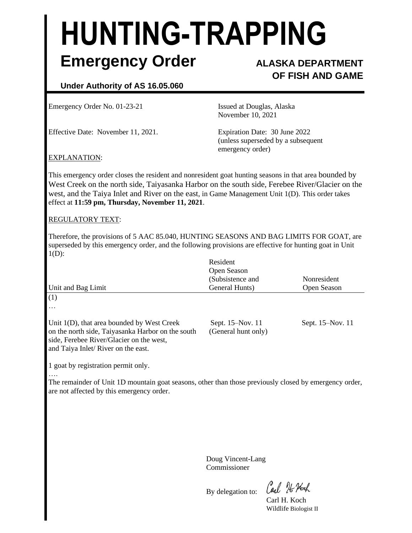# **HUNTING-TRAPPING Emergency Order ALASKA DEPARTMENT**

# **OF FISH AND GAME**

# **Under Authority of AS 16.05.060**

Emergency Order No. 01-23-21 Issued at Douglas, Alaska

Effective Date: November 11, 2021. Expiration Date: 30 June 2022

November 10, 2021

(unless superseded by a subsequent emergency order)

## EXPLANATION:

This emergency order closes the resident and nonresident goat hunting seasons in that area bounded by West Creek on the north side, Taiyasanka Harbor on the south side, Ferebee River/Glacier on the west, and the Taiya Inlet and River on the east, in Game Management Unit 1(D). This order takes effect at **11:59 pm, Thursday, November 11, 2021**.

### REGULATORY TEXT:

Therefore, the provisions of 5 AAC 85.040, HUNTING SEASONS AND BAG LIMITS FOR GOAT, are superseded by this emergency order, and the following provisions are effective for hunting goat in Unit  $1(D)$ :

| Unit and Bag Limit                                                                                                                                                                   | Resident<br>Open Season<br>(Subsistence and<br>General Hunts) | Nonresident<br>Open Season |
|--------------------------------------------------------------------------------------------------------------------------------------------------------------------------------------|---------------------------------------------------------------|----------------------------|
| (1)<br>$\cdots$                                                                                                                                                                      |                                                               |                            |
| Unit $1(D)$ , that area bounded by West Creek<br>on the north side, Taiyasanka Harbor on the south<br>side, Ferebee River/Glacier on the west,<br>and Taiya Inlet/River on the east. | Sept. 15–Nov. 11<br>(General hunt only)                       | Sept. 15–Nov. 11           |

1 goat by registration permit only.

…. The remainder of Unit 1D mountain goat seasons, other than those previously closed by emergency order, are not affected by this emergency order.

> Doug Vincent-Lang Commissioner

By delegation to:

Carl 76 Noch

Carl H. Koch Wildlife Biologist II